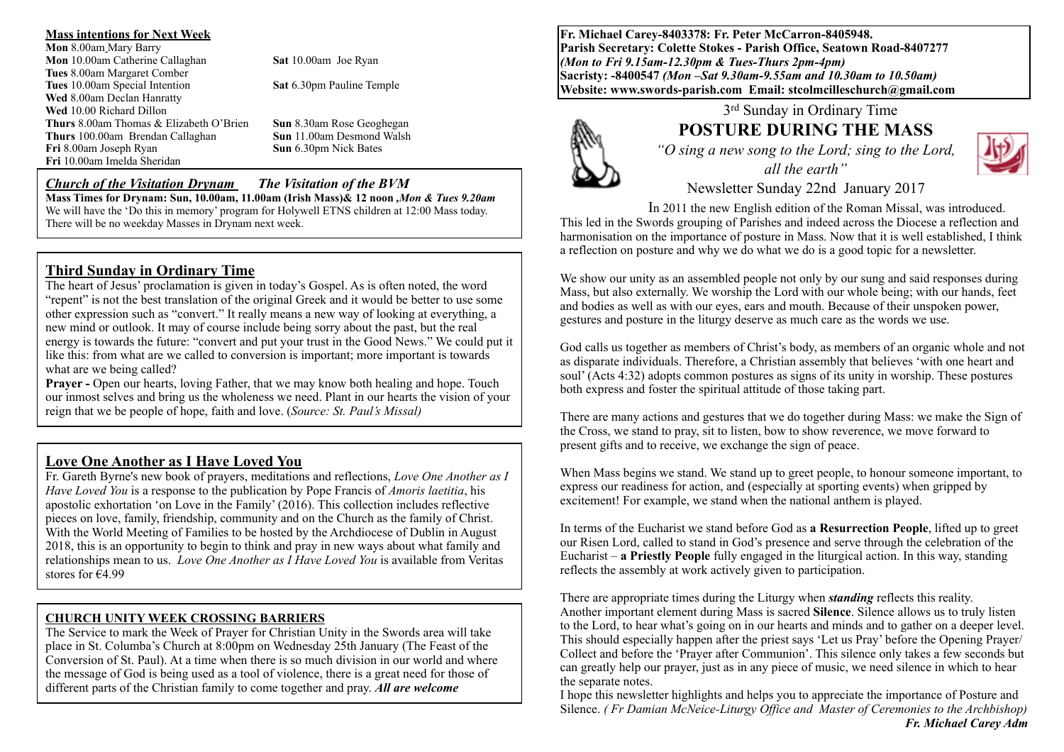#### **Mass intentions for Next Week**

**Mon** 8.00am Mary Barry **Mon** 10.00am Catherine Callaghan **Sat** 10.00am Joe Ryan **Tues** 8.00am Margaret Comber **Tues** 10.00am Special Intention **Sat** 6.30pm Pauline Temple **Wed** 8.00am Declan Hanratty **Wed** 10.00 Richard Dillon **Thurs** 8.00am Thomas & Elizabeth O'Brien **Sun** 8.30am Rose Geoghegan **Thurs** 100.00am Brendan Callaghan **Sun** 11.00am Desmond Walsh **Fri** 8.00am Joseph Ryan **Sun** 6.30pm Nick Bates **Fri** 10.00am Imelda Sheridan

#### *Church of the Visitation Drynam**The Visitation of the BVM*

**Mass Times for Drynam: Sun, 10.00am, 11.00am (Irish Mass)& 12 noon** *,Mon & Tues 9.20am*  We will have the 'Do this in memory' program for Holywell ETNS children at 12:00 Mass today. There will be no weekday Masses in Drynam next week.

## **Third Sunday in Ordinary Time**

The heart of Jesus' proclamation is given in today's Gospel. As is often noted, the word "repent" is not the best translation of the original Greek and it would be better to use some other expression such as "convert." It really means a new way of looking at everything, a new mind or outlook. It may of course include being sorry about the past, but the real energy is towards the future: "convert and put your trust in the Good News." We could put it like this: from what are we called to conversion is important; more important is towards what are we being called?

**Prayer - Open our hearts, loving Father, that we may know both healing and hope. Touch** our inmost selves and bring us the wholeness we need. Plant in our hearts the vision of your reign that we be people of hope, faith and love. (*Source: St. Paul's Missal)*

**Love One Another as I Have Loved You** Fr. Gareth Byrne's new book of prayers, meditations and reflections, *Love One Another as I Have Loved You* is a response to the publication by Pope Francis of *Amoris laetitia*, his apostolic exhortation 'on Love in the Family' (2016). This collection includes reflective pieces on love, family, friendship, community and on the Church as the family of Christ. With the World Meeting of Families to be hosted by the Archdiocese of Dublin in August 2018, this is an opportunity to begin to think and pray in new ways about what family and relationships mean to us. *Love One Another as I Have Loved You* is available from Veritas stores for €4.99

### **CHURCH UNITY WEEK CROSSING BARRIERS**

The Service to mark the Week of Prayer for Christian Unity in the Swords area will take place in St. Columba's Church at 8:00pm on Wednesday 25th January (The Feast of the Conversion of St. Paul). At a time when there is so much division in our world and where the message of God is being used as a tool of violence, there is a great need for those of different parts of the Christian family to come together and pray. *All are welcome*

**Fr. Michael Carey-8403378: Fr. Peter McCarron-8405948. Parish Secretary: Colette Stokes - Parish Office, Seatown Road-8407277**  *(Mon to Fri 9.15am-12.30pm & Tues-Thurs 2pm-4pm)*  **Sacristy: -8400547** *(Mon –Sat 9.30am-9.55am and 10.30am to 10.50am)* **Website: [www.swords-parish.com Email:](http://www.swords-parish.com%20%20email) stcolmcilleschurch@gmail.com**



# 3rd Sunday in Ordinary Time **POSTURE DURING THE MASS**

*"O sing a new song to the Lord; sing to the Lord, all the earth"* 



Newsletter Sunday 22nd January 2017

In 2011 the new English edition of the Roman Missal, was introduced. This led in the Swords grouping of Parishes and indeed across the Diocese a reflection and harmonisation on the importance of posture in Mass. Now that it is well established, I think a reflection on posture and why we do what we do is a good topic for a newsletter.

We show our unity as an assembled people not only by our sung and said responses during Mass, but also externally. We worship the Lord with our whole being; with our hands, feet and bodies as well as with our eyes, ears and mouth. Because of their unspoken power, gestures and posture in the liturgy deserve as much care as the words we use.

God calls us together as members of Christ's body, as members of an organic whole and not as disparate individuals. Therefore, a Christian assembly that believes 'with one heart and soul' (Acts 4:32) adopts common postures as signs of its unity in worship. These postures both express and foster the spiritual attitude of those taking part.

There are many actions and gestures that we do together during Mass: we make the Sign of the Cross, we stand to pray, sit to listen, bow to show reverence, we move forward to present gifts and to receive, we exchange the sign of peace.

When Mass begins we stand. We stand up to greet people, to honour someone important, to express our readiness for action, and (especially at sporting events) when gripped by excitement! For example, we stand when the national anthem is played.

In terms of the Eucharist we stand before God as **a Resurrection People**, lifted up to greet our Risen Lord, called to stand in God's presence and serve through the celebration of the Eucharist – **a Priestly People** fully engaged in the liturgical action. In this way, standing reflects the assembly at work actively given to participation.

There are appropriate times during the Liturgy when *standing* reflects this reality. Another important element during Mass is sacred **Silence**. Silence allows us to truly listen to the Lord, to hear what's going on in our hearts and minds and to gather on a deeper level. This should especially happen after the priest says 'Let us Pray' before the Opening Prayer/ Collect and before the 'Prayer after Communion'. This silence only takes a few seconds but can greatly help our prayer, just as in any piece of music, we need silence in which to hear the separate notes.

I hope this newsletter highlights and helps you to appreciate the importance of Posture and Silence. *( Fr Damian McNeice-Liturgy Office and Master of Ceremonies to the Archbishop) Fr. Michael Carey Adm*